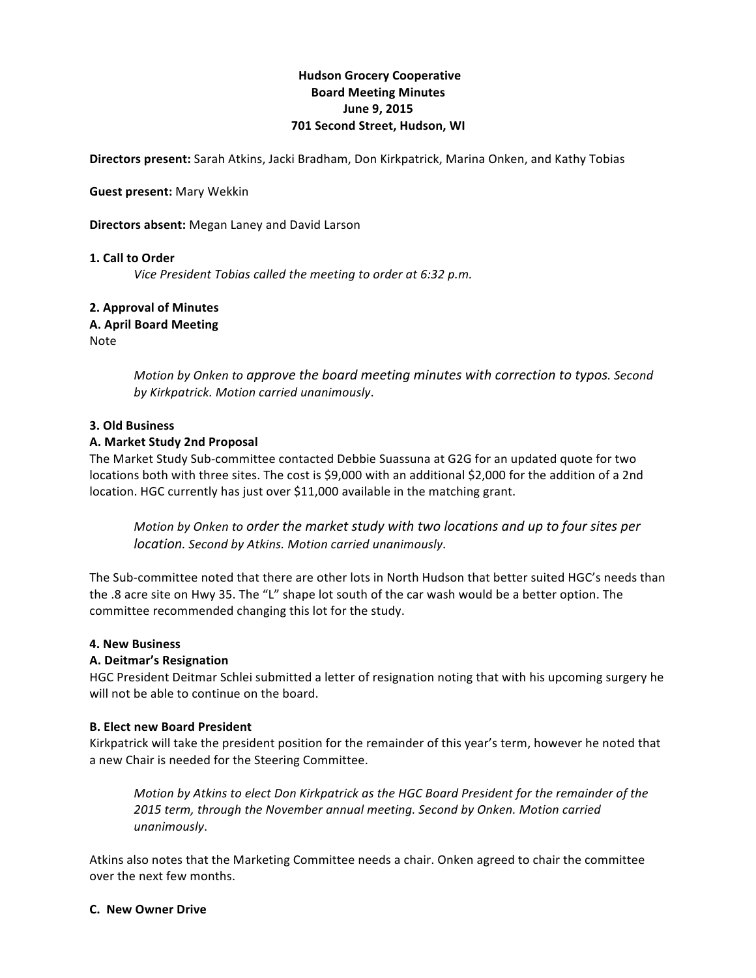# **Hudson Grocery Cooperative Board!Meeting!Minutes June 9, 2015 701 Second Street, Hudson, WI**

**Directors present:** Sarah Atkins, Jacki Bradham, Don Kirkpatrick, Marina Onken, and Kathy Tobias

#### **Guest present: Mary Wekkin**

#### **Directors absent:** Megan Laney and David Larson

#### **1. Call to Order**

*Vice President Tobias called the meeting to order at 6:32 p.m.* 

# **2. Approval of Minutes A.!April Board!Meeting**

Note

*Motion%by%Onken to%approve%the%board%meeting%minutes with%correction%to%typos.%Second%* by Kirkpatrick. Motion carried unanimously.

#### **3. Old Business**

#### **A. Market Study 2nd Proposal**

The Market Study Sub-committee contacted Debbie Suassuna at G2G for an updated quote for two locations both with three sites. The cost is \$9,000 with an additional \$2,000 for the addition of a 2nd location. HGC currently has just over \$11,000 available in the matching grant.

*Motion%by%Onken to%order%the%market%study%with%two%locations%and%up%to%four%sites%per% location. Second by Atkins. Motion carried unanimously.* 

The Sub-committee noted that there are other lots in North Hudson that better suited HGC's needs than the .8 acre site on Hwy 35. The "L" shape lot south of the car wash would be a better option. The committee recommended changing this lot for the study.

## **4. New Business**

## **A.!Deitmar's!Resignation**

HGC President Deitmar Schlei submitted a letter of resignation noting that with his upcoming surgery he will not be able to continue on the board.

#### **B. Elect new Board President**

Kirkpatrick will take the president position for the remainder of this year's term, however he noted that a new Chair is needed for the Steering Committee.

*Motion by Atkins to elect Don Kirkpatrick as the HGC Board President for the remainder of the 2015%term,%through%the%November%annual%meeting.%Second%by%Onken. Motion%carried% unanimously*.

Atkins also notes that the Marketing Committee needs a chair. Onken agreed to chair the committee over the next few months.

#### **C.! New!Owner!Drive!**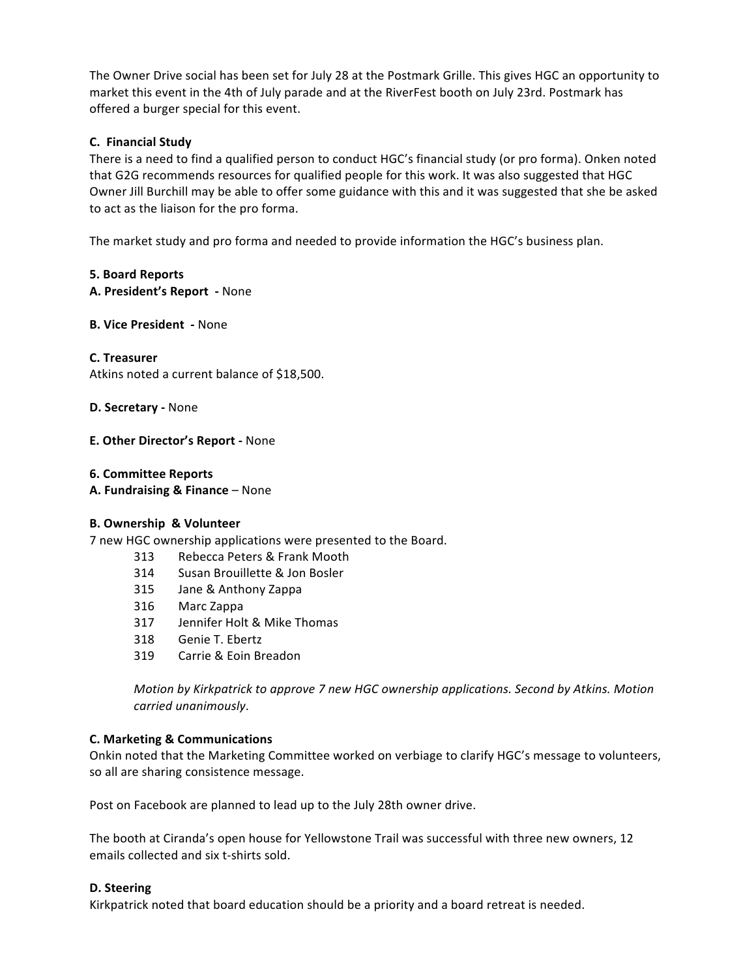The Owner Drive social has been set for July 28 at the Postmark Grille. This gives HGC an opportunity to market this event in the 4th of July parade and at the RiverFest booth on July 23rd. Postmark has offered a burger special for this event.

# **C.! Financial!Study!**

There is a need to find a qualified person to conduct HGC's financial study (or pro forma). Onken noted that G2G recommends resources for qualified people for this work. It was also suggested that HGC Owner Jill Burchill may be able to offer some guidance with this and it was suggested that she be asked to act as the liaison for the pro forma.

The market study and pro forma and needed to provide information the HGC's business plan.

# **5.!Board!Reports**

**A. President's Report** - None

# **B. Vice President** - None

# **C.!Treasurer**

Atkins noted a current balance of \$18,500.

## **D. Secretary - None**

# **E. Other Director's Report - None**

## **6. Committee!Reports**

**A. Fundraising & Finance** – None

# **B.!Ownership &!Volunteer**

7 new HGC ownership applications were presented to the Board.

- 313 Rebecca Peters & Frank Mooth
- 314 Susan Brouillette & Jon Bosler
- 315 Jane & Anthony Zappa
- 316 Marc!Zappa
- 317 Jennifer Holt & Mike Thomas
- 318 Genie T. Ebertz
- 319 Carrie & Foin Breadon

*Motion by Kirkpatrick to approve 7 new HGC ownership applications. Second by Atkins. Motion carried%unanimously*.

## **C.!Marketing!&!Communications**

Onkin noted that the Marketing Committee worked on verbiage to clarify HGC's message to volunteers, so all are sharing consistence message.

Post on Facebook are planned to lead up to the July 28th owner drive.

The booth at Ciranda's open house for Yellowstone Trail was successful with three new owners, 12 emails collected and six t-shirts sold.

## **D.!Steering**

Kirkpatrick noted that board education should be a priority and a board retreat is needed.